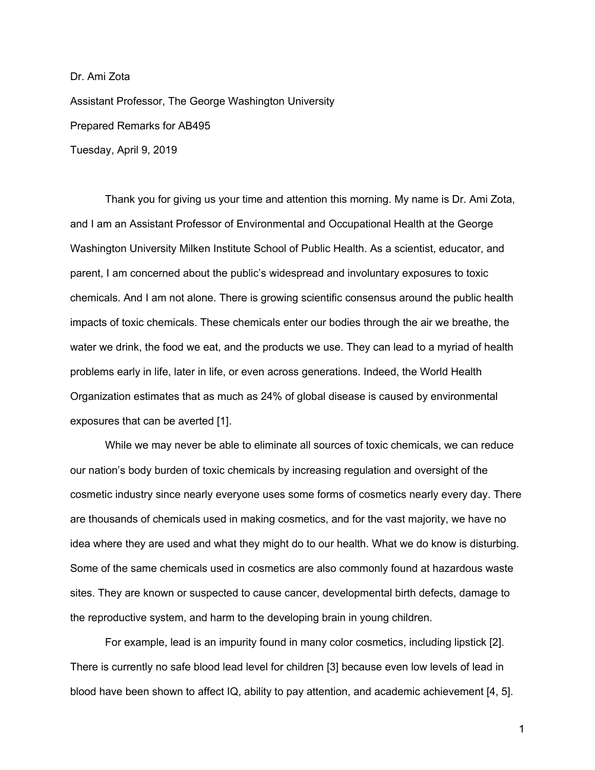Assistant Professor, The George Washington University Prepared Remarks for AB495 Tuesday, April 9, 2019

Dr. Ami Zota

Thank you for giving us your time and attention this morning. My name is Dr. Ami Zota, and I am an Assistant Professor of Environmental and Occupational Health at the George Washington University Milken Institute School of Public Health. As a scientist, educator, and parent, I am concerned about the public's widespread and involuntary exposures to toxic chemicals. And I am not alone. There is growing scientific consensus around the public health impacts of toxic chemicals. These chemicals enter our bodies through the air we breathe, the water we drink, the food we eat, and the products we use. They can lead to a myriad of health problems early in life, later in life, or even across generations. Indeed, the World Health Organization estimates that as much as 24% of global disease is caused by environmental exposures that can be averted [1].

While we may never be able to eliminate all sources of toxic chemicals, we can reduce our nation's body burden of toxic chemicals by increasing regulation and oversight of the cosmetic industry since nearly everyone uses some forms of cosmetics nearly every day. There are thousands of chemicals used in making cosmetics, and for the vast majority, we have no idea where they are used and what they might do to our health. What we do know is disturbing. Some of the same chemicals used in cosmetics are also commonly found at hazardous waste sites. They are known or suspected to cause cancer, developmental birth defects, damage to the reproductive system, and harm to the developing brain in young children.

For example, lead is an impurity found in many color cosmetics, including lipstick [2]. There is currently no safe blood lead level for children [3] because even low levels of lead in blood have been shown to affect IQ, ability to pay attention, and academic achievement [4, 5].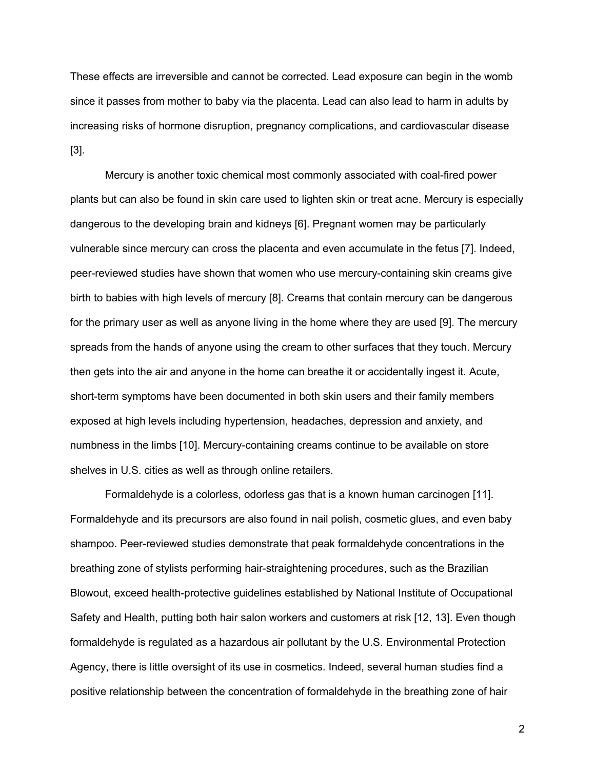These effects are irreversible and cannot be corrected. Lead exposure can begin in the womb since it passes from mother to baby via the placenta. Lead can also lead to harm in adults by increasing risks of hormone disruption, pregnancy complications, and cardiovascular disease [3].

Mercury is another toxic chemical most commonly associated with coal-fired power plants but can also be found in skin care used to lighten skin or treat acne. Mercury is especially dangerous to the developing brain and kidneys [6]. Pregnant women may be particularly vulnerable since mercury can cross the placenta and even accumulate in the fetus [7]. Indeed, peer-reviewed studies have shown that women who use mercury-containing skin creams give birth to babies with high levels of mercury [8]. Creams that contain mercury can be dangerous for the primary user as well as anyone living in the home where they are used [9]. The mercury spreads from the hands of anyone using the cream to other surfaces that they touch. Mercury then gets into the air and anyone in the home can breathe it or accidentally ingest it. Acute, short-term symptoms have been documented in both skin users and their family members exposed at high levels including hypertension, headaches, depression and anxiety, and numbness in the limbs [10]. Mercury-containing creams continue to be available on store shelves in U.S. cities as well as through online retailers.

Formaldehyde is a colorless, odorless gas that is a known human carcinogen [11]. Formaldehyde and its precursors are also found in nail polish, cosmetic glues, and even baby shampoo. Peer-reviewed studies demonstrate that peak formaldehyde concentrations in the breathing zone of stylists performing hair-straightening procedures, such as the Brazilian Blowout, exceed health-protective guidelines established by National Institute of Occupational Safety and Health, putting both hair salon workers and customers at risk [12, 13]. Even though formaldehyde is regulated as a hazardous air pollutant by the U.S. Environmental Protection Agency, there is little oversight of its use in cosmetics. Indeed, several human studies find a positive relationship between the concentration of formaldehyde in the breathing zone of hair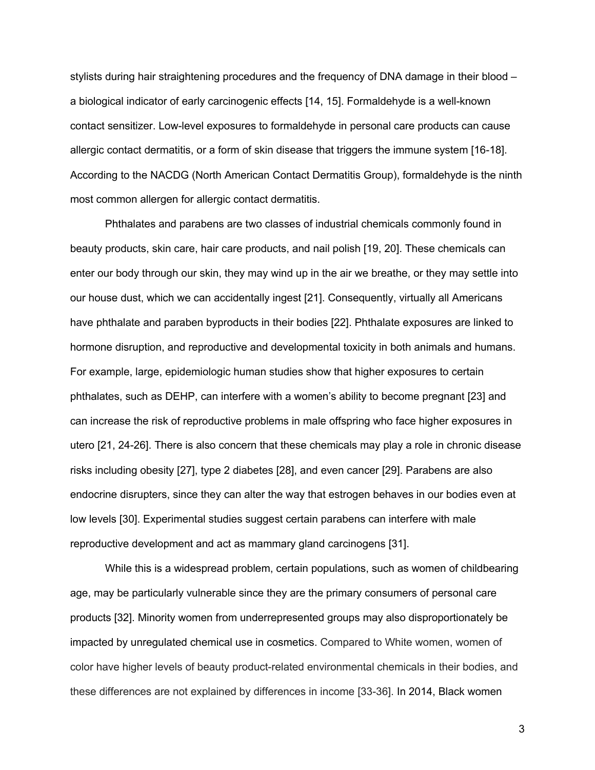stylists during hair straightening procedures and the frequency of DNA damage in their blood – a biological indicator of early carcinogenic effects [14, 15]. Formaldehyde is a well-known contact sensitizer. Low-level exposures to formaldehyde in personal care products can cause allergic contact dermatitis, or a form of skin disease that triggers the immune system [16-18]. According to the NACDG (North American Contact Dermatitis Group), formaldehyde is the ninth most common allergen for allergic contact dermatitis.

Phthalates and parabens are two classes of industrial chemicals commonly found in beauty products, skin care, hair care products, and nail polish [19, 20]. These chemicals can enter our body through our skin, they may wind up in the air we breathe, or they may settle into our house dust, which we can accidentally ingest [21]. Consequently, virtually all Americans have phthalate and paraben byproducts in their bodies [22]. Phthalate exposures are linked to hormone disruption, and reproductive and developmental toxicity in both animals and humans. For example, large, epidemiologic human studies show that higher exposures to certain phthalates, such as DEHP, can interfere with a women's ability to become pregnant [23] and can increase the risk of reproductive problems in male offspring who face higher exposures in utero [21, 24-26]. There is also concern that these chemicals may play a role in chronic disease risks including obesity [27], type 2 diabetes [28], and even cancer [29]. Parabens are also endocrine disrupters, since they can alter the way that estrogen behaves in our bodies even at low levels [30]. Experimental studies suggest certain parabens can interfere with male reproductive development and act as mammary gland carcinogens [31].

While this is a widespread problem, certain populations, such as women of childbearing age, may be particularly vulnerable since they are the primary consumers of personal care products [32]. Minority women from underrepresented groups may also disproportionately be impacted by unregulated chemical use in cosmetics. Compared to White women, women of color have higher levels of beauty product-related environmental chemicals in their bodies, and these differences are not explained by differences in income [33-36]. In 2014, Black women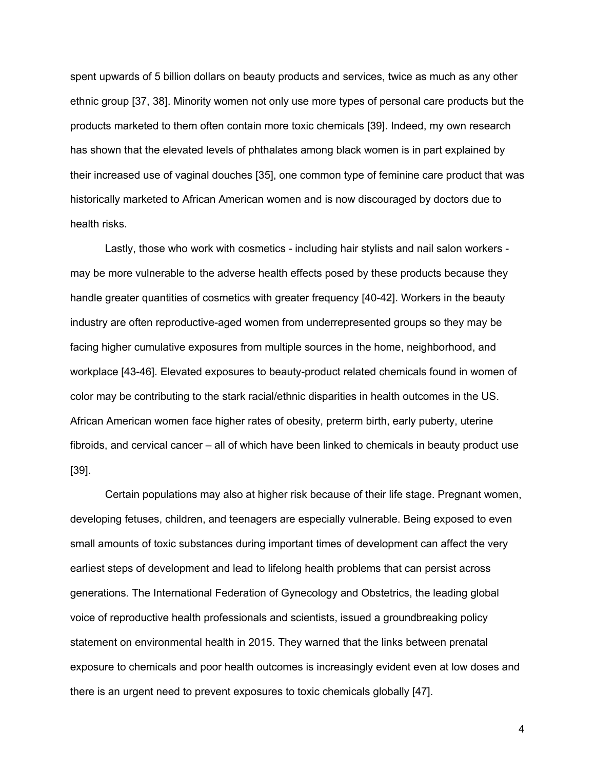spent upwards of 5 billion dollars on beauty products and services, twice as much as any other ethnic group [37, 38]. Minority women not only use more types of personal care products but the products marketed to them often contain more toxic chemicals [39]. Indeed, my own research has shown that the elevated levels of phthalates among black women is in part explained by their increased use of vaginal douches [35], one common type of feminine care product that was historically marketed to African American women and is now discouraged by doctors due to health risks.

Lastly, those who work with cosmetics - including hair stylists and nail salon workers may be more vulnerable to the adverse health effects posed by these products because they handle greater quantities of cosmetics with greater frequency [40-42]. Workers in the beauty industry are often reproductive-aged women from underrepresented groups so they may be facing higher cumulative exposures from multiple sources in the home, neighborhood, and workplace [43-46]. Elevated exposures to beauty-product related chemicals found in women of color may be contributing to the stark racial/ethnic disparities in health outcomes in the US. African American women face higher rates of obesity, preterm birth, early puberty, uterine fibroids, and cervical cancer – all of which have been linked to chemicals in beauty product use [39].

Certain populations may also at higher risk because of their life stage. Pregnant women, developing fetuses, children, and teenagers are especially vulnerable. Being exposed to even small amounts of toxic substances during important times of development can affect the very earliest steps of development and lead to lifelong health problems that can persist across generations. The International Federation of Gynecology and Obstetrics, the leading global voice of reproductive health professionals and scientists, issued a groundbreaking policy statement on environmental health in 2015. They warned that the links between prenatal exposure to chemicals and poor health outcomes is increasingly evident even at low doses and there is an urgent need to prevent exposures to toxic chemicals globally [47].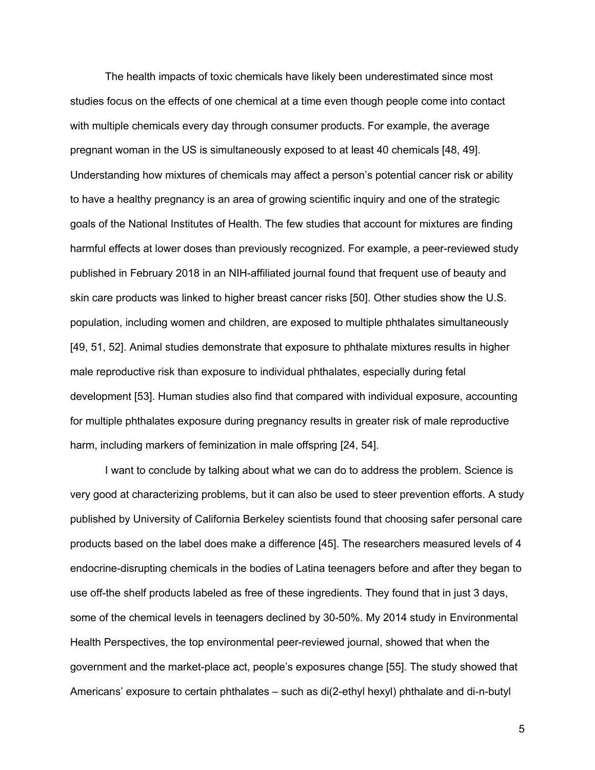The health impacts of toxic chemicals have likely been underestimated since most studies focus on the effects of one chemical at a time even though people come into contact with multiple chemicals every day through consumer products. For example, the average pregnant woman in the US is simultaneously exposed to at least 40 chemicals [48, 49]. Understanding how mixtures of chemicals may affect a person's potential cancer risk or ability to have a healthy pregnancy is an area of growing scientific inquiry and one of the strategic goals of the National Institutes of Health. The few studies that account for mixtures are finding harmful effects at lower doses than previously recognized. For example, a peer-reviewed study published in February 2018 in an NIH-affiliated journal found that frequent use of beauty and skin care products was linked to higher breast cancer risks [50]. Other studies show the U.S. population, including women and children, are exposed to multiple phthalates simultaneously [49, 51, 52]. Animal studies demonstrate that exposure to phthalate mixtures results in higher male reproductive risk than exposure to individual phthalates, especially during fetal development [53]. Human studies also find that compared with individual exposure, accounting for multiple phthalates exposure during pregnancy results in greater risk of male reproductive harm, including markers of feminization in male offspring [24, 54].

I want to conclude by talking about what we can do to address the problem. Science is very good at characterizing problems, but it can also be used to steer prevention efforts. A study published by University of California Berkeley scientists found that choosing safer personal care products based on the label does make a difference [45]. The researchers measured levels of 4 endocrine-disrupting chemicals in the bodies of Latina teenagers before and after they began to use off-the shelf products labeled as free of these ingredients. They found that in just 3 days, some of the chemical levels in teenagers declined by 30-50%. My 2014 study in Environmental Health Perspectives, the top environmental peer-reviewed journal, showed that when the government and the market-place act, people's exposures change [55]. The study showed that Americans' exposure to certain phthalates – such as di(2-ethyl hexyl) phthalate and di-n-butyl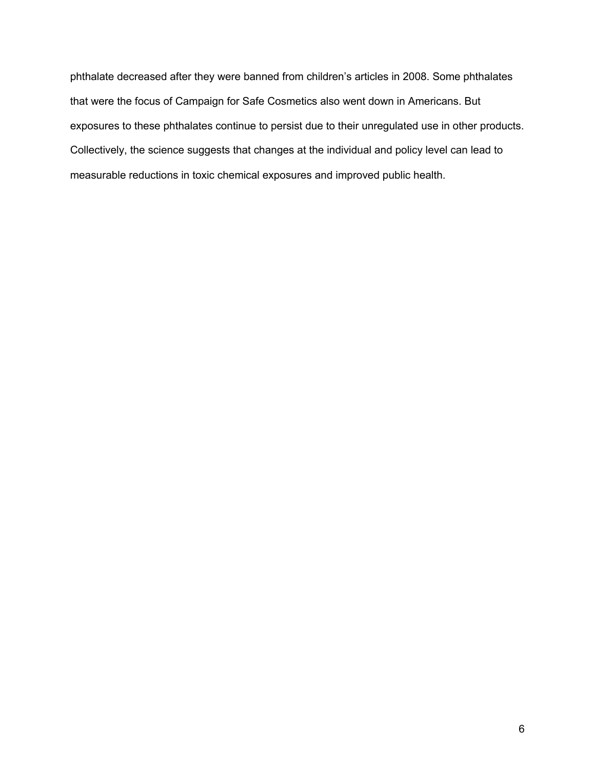phthalate decreased after they were banned from children's articles in 2008. Some phthalates that were the focus of Campaign for Safe Cosmetics also went down in Americans. But exposures to these phthalates continue to persist due to their unregulated use in other products. Collectively, the science suggests that changes at the individual and policy level can lead to measurable reductions in toxic chemical exposures and improved public health.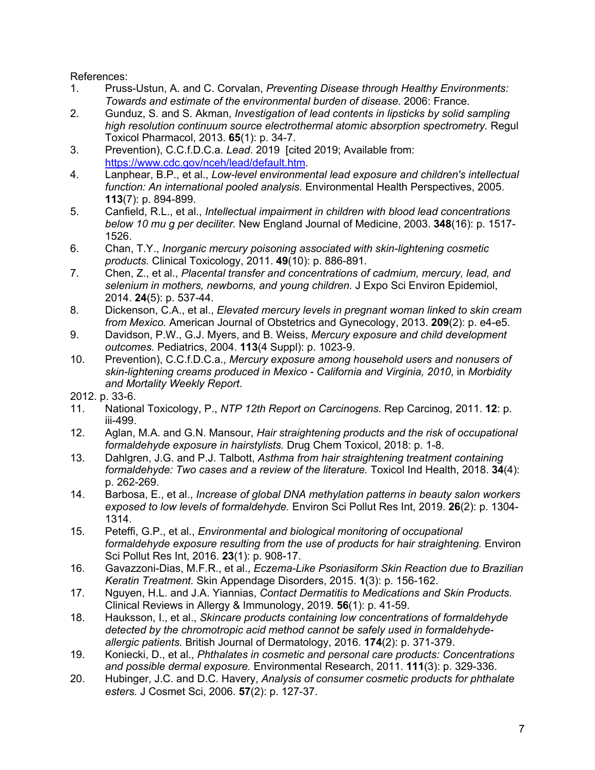References:

- 1. Pruss-Ustun, A. and C. Corvalan, *Preventing Disease through Healthy Environments: Towards and estimate of the environmental burden of disease*. 2006: France.
- 2. Gunduz, S. and S. Akman, *Investigation of lead contents in lipsticks by solid sampling high resolution continuum source electrothermal atomic absorption spectrometry.* Regul Toxicol Pharmacol, 2013. **65**(1): p. 34-7.
- 3. Prevention), C.C.f.D.C.a. *Lead*. 2019 [cited 2019; Available from: https://www.cdc.gov/nceh/lead/default.htm.
- 4. Lanphear, B.P., et al., *Low-level environmental lead exposure and children's intellectual function: An international pooled analysis.* Environmental Health Perspectives, 2005. **113**(7): p. 894-899.
- 5. Canfield, R.L., et al., *Intellectual impairment in children with blood lead concentrations below 10 mu g per deciliter.* New England Journal of Medicine, 2003. **348**(16): p. 1517- 1526.
- 6. Chan, T.Y., *Inorganic mercury poisoning associated with skin-lightening cosmetic products.* Clinical Toxicology, 2011. **49**(10): p. 886-891.
- 7. Chen, Z., et al., *Placental transfer and concentrations of cadmium, mercury, lead, and selenium in mothers, newborns, and young children.* J Expo Sci Environ Epidemiol, 2014. **24**(5): p. 537-44.
- 8. Dickenson, C.A., et al., *Elevated mercury levels in pregnant woman linked to skin cream from Mexico.* American Journal of Obstetrics and Gynecology, 2013. **209**(2): p. e4-e5.
- 9. Davidson, P.W., G.J. Myers, and B. Weiss, *Mercury exposure and child development outcomes.* Pediatrics, 2004. **113**(4 Suppl): p. 1023-9.
- 10. Prevention), C.C.f.D.C.a., *Mercury exposure among household users and nonusers of skin-lightening creams produced in Mexico - California and Virginia, 2010*, in *Morbidity and Mortality Weekly Report*.

2012. p. 33-6.

- 11. National Toxicology, P., *NTP 12th Report on Carcinogens.* Rep Carcinog, 2011. **12**: p. iii-499.
- 12. Aglan, M.A. and G.N. Mansour, *Hair straightening products and the risk of occupational formaldehyde exposure in hairstylists.* Drug Chem Toxicol, 2018: p. 1-8.
- 13. Dahlgren, J.G. and P.J. Talbott, *Asthma from hair straightening treatment containing formaldehyde: Two cases and a review of the literature.* Toxicol Ind Health, 2018. **34**(4): p. 262-269.
- 14. Barbosa, E., et al., *Increase of global DNA methylation patterns in beauty salon workers exposed to low levels of formaldehyde.* Environ Sci Pollut Res Int, 2019. **26**(2): p. 1304- 1314.
- 15. Peteffi, G.P., et al., *Environmental and biological monitoring of occupational formaldehyde exposure resulting from the use of products for hair straightening.* Environ Sci Pollut Res Int, 2016. **23**(1): p. 908-17.
- 16. Gavazzoni-Dias, M.F.R., et al., *Eczema-Like Psoriasiform Skin Reaction due to Brazilian Keratin Treatment.* Skin Appendage Disorders, 2015. **1**(3): p. 156-162.
- 17. Nguyen, H.L. and J.A. Yiannias, *Contact Dermatitis to Medications and Skin Products.* Clinical Reviews in Allergy & Immunology, 2019. **56**(1): p. 41-59.
- 18. Hauksson, I., et al., *Skincare products containing low concentrations of formaldehyde detected by the chromotropic acid method cannot be safely used in formaldehydeallergic patients.* British Journal of Dermatology, 2016. **174**(2): p. 371-379.
- 19. Koniecki, D., et al., *Phthalates in cosmetic and personal care products: Concentrations and possible dermal exposure.* Environmental Research, 2011. **111**(3): p. 329-336.
- 20. Hubinger, J.C. and D.C. Havery, *Analysis of consumer cosmetic products for phthalate esters.* J Cosmet Sci, 2006. **57**(2): p. 127-37.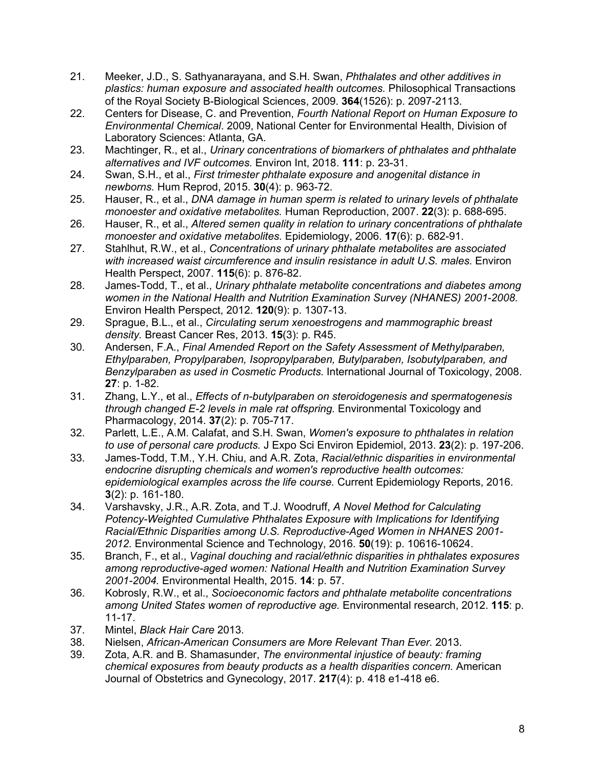- 21. Meeker, J.D., S. Sathyanarayana, and S.H. Swan, *Phthalates and other additives in plastics: human exposure and associated health outcomes.* Philosophical Transactions of the Royal Society B-Biological Sciences, 2009. **364**(1526): p. 2097-2113.
- 22. Centers for Disease, C. and Prevention, *Fourth National Report on Human Exposure to Environmental Chemical*. 2009, National Center for Environmental Health, Division of Laboratory Sciences: Atlanta, GA.
- 23. Machtinger, R., et al., *Urinary concentrations of biomarkers of phthalates and phthalate alternatives and IVF outcomes.* Environ Int, 2018. **111**: p. 23-31.
- 24. Swan, S.H., et al., *First trimester phthalate exposure and anogenital distance in newborns.* Hum Reprod, 2015. **30**(4): p. 963-72.
- 25. Hauser, R., et al., *DNA damage in human sperm is related to urinary levels of phthalate monoester and oxidative metabolites.* Human Reproduction, 2007. **22**(3): p. 688-695.
- 26. Hauser, R., et al., *Altered semen quality in relation to urinary concentrations of phthalate monoester and oxidative metabolites.* Epidemiology, 2006. **17**(6): p. 682-91.
- 27. Stahlhut, R.W., et al., *Concentrations of urinary phthalate metabolites are associated with increased waist circumference and insulin resistance in adult U.S. males.* Environ Health Perspect, 2007. **115**(6): p. 876-82.
- 28. James-Todd, T., et al., *Urinary phthalate metabolite concentrations and diabetes among women in the National Health and Nutrition Examination Survey (NHANES) 2001-2008.* Environ Health Perspect, 2012. **120**(9): p. 1307-13.
- 29. Sprague, B.L., et al., *Circulating serum xenoestrogens and mammographic breast density.* Breast Cancer Res, 2013. **15**(3): p. R45.
- 30. Andersen, F.A., *Final Amended Report on the Safety Assessment of Methylparaben, Ethylparaben, Propylparaben, Isopropylparaben, Butylparaben, Isobutylparaben, and Benzylparaben as used in Cosmetic Products.* International Journal of Toxicology, 2008. **27**: p. 1-82.
- 31. Zhang, L.Y., et al., *Effects of n-butylparaben on steroidogenesis and spermatogenesis through changed E-2 levels in male rat offspring.* Environmental Toxicology and Pharmacology, 2014. **37**(2): p. 705-717.
- 32. Parlett, L.E., A.M. Calafat, and S.H. Swan, *Women's exposure to phthalates in relation to use of personal care products.* J Expo Sci Environ Epidemiol, 2013. **23**(2): p. 197-206.
- 33. James-Todd, T.M., Y.H. Chiu, and A.R. Zota, *Racial/ethnic disparities in environmental endocrine disrupting chemicals and women's reproductive health outcomes: epidemiological examples across the life course.* Current Epidemiology Reports, 2016. **3**(2): p. 161-180.
- 34. Varshavsky, J.R., A.R. Zota, and T.J. Woodruff, *A Novel Method for Calculating Potency-Weighted Cumulative Phthalates Exposure with Implications for Identifying Racial/Ethnic Disparities among U.S. Reproductive-Aged Women in NHANES 2001- 2012.* Environmental Science and Technology, 2016. **50**(19): p. 10616-10624.
- 35. Branch, F., et al., *Vaginal douching and racial/ethnic disparities in phthalates exposures among reproductive-aged women: National Health and Nutrition Examination Survey 2001-2004.* Environmental Health, 2015. **14**: p. 57.
- 36. Kobrosly, R.W., et al., *Socioeconomic factors and phthalate metabolite concentrations among United States women of reproductive age.* Environmental research, 2012. **115**: p. 11-17.
- 37. Mintel, *Black Hair Care* 2013.
- 38. Nielsen, *African-American Consumers are More Relevant Than Ever.* 2013.
- 39. Zota, A.R. and B. Shamasunder, *The environmental injustice of beauty: framing chemical exposures from beauty products as a health disparities concern.* American Journal of Obstetrics and Gynecology, 2017. **217**(4): p. 418 e1-418 e6.